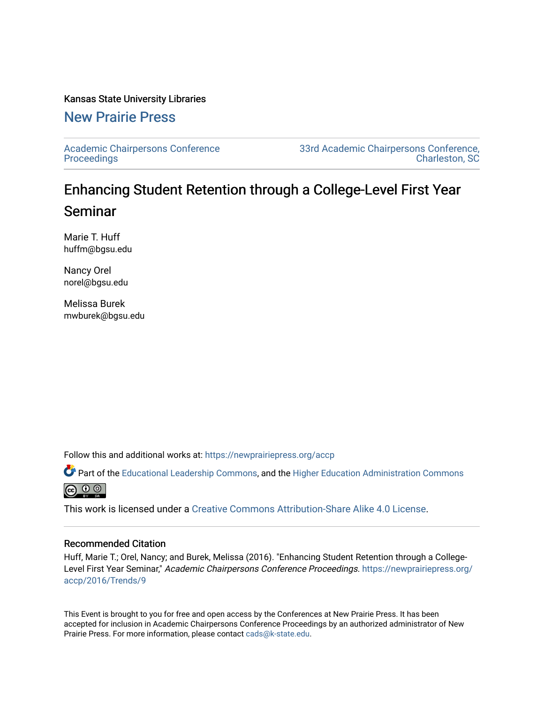#### Kansas State University Libraries

# [New Prairie Press](https://newprairiepress.org/)

[Academic Chairpersons Conference](https://newprairiepress.org/accp)  **Proceedings** 

[33rd Academic Chairpersons Conference,](https://newprairiepress.org/accp/2016)  [Charleston, SC](https://newprairiepress.org/accp/2016) 

# Enhancing Student Retention through a College-Level First Year Seminar

Marie T. Huff huffm@bgsu.edu

Nancy Orel norel@bgsu.edu

Melissa Burek mwburek@bgsu.edu

Follow this and additional works at: [https://newprairiepress.org/accp](https://newprairiepress.org/accp?utm_source=newprairiepress.org%2Faccp%2F2016%2FTrends%2F9&utm_medium=PDF&utm_campaign=PDFCoverPages) 

Part of the [Educational Leadership Commons,](http://network.bepress.com/hgg/discipline/1230?utm_source=newprairiepress.org%2Faccp%2F2016%2FTrends%2F9&utm_medium=PDF&utm_campaign=PDFCoverPages) and the [Higher Education Administration Commons](http://network.bepress.com/hgg/discipline/791?utm_source=newprairiepress.org%2Faccp%2F2016%2FTrends%2F9&utm_medium=PDF&utm_campaign=PDFCoverPages) **@** ⊙ ⊚

This work is licensed under a [Creative Commons Attribution-Share Alike 4.0 License.](https://creativecommons.org/licenses/by-sa/4.0/)

#### Recommended Citation

Huff, Marie T.; Orel, Nancy; and Burek, Melissa (2016). "Enhancing Student Retention through a CollegeLevel First Year Seminar," Academic Chairpersons Conference Proceedings. [https://newprairiepress.org/](https://newprairiepress.org/accp/2016/Trends/9) [accp/2016/Trends/9](https://newprairiepress.org/accp/2016/Trends/9)

This Event is brought to you for free and open access by the Conferences at New Prairie Press. It has been accepted for inclusion in Academic Chairpersons Conference Proceedings by an authorized administrator of New Prairie Press. For more information, please contact [cads@k-state.edu.](mailto:cads@k-state.edu)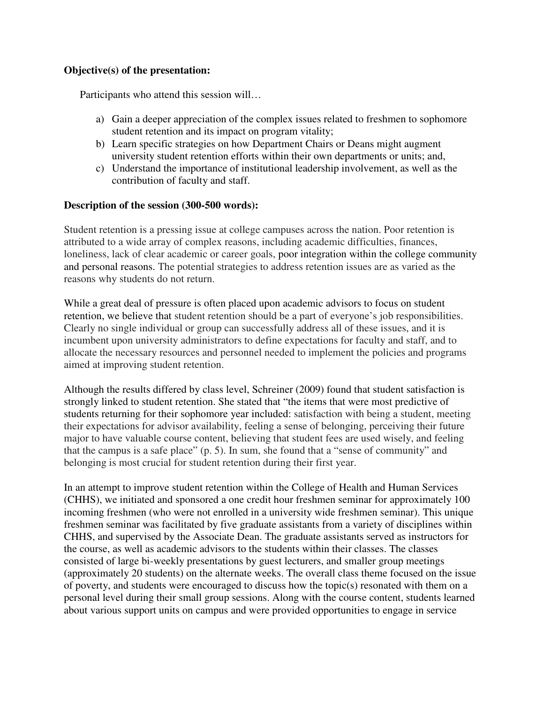## **Objective(s) of the presentation:**

Participants who attend this session will…

- a) Gain a deeper appreciation of the complex issues related to freshmen to sophomore student retention and its impact on program vitality;
- b) Learn specific strategies on how Department Chairs or Deans might augment university student retention efforts within their own departments or units; and,
- c) Understand the importance of institutional leadership involvement, as well as the contribution of faculty and staff.

## **Description of the session (300-500 words):**

Student retention is a pressing issue at college campuses across the nation. Poor retention is attributed to a wide array of complex reasons, including academic difficulties, finances, loneliness, lack of clear academic or career goals, poor integration within the college community and personal reasons. The potential strategies to address retention issues are as varied as the reasons why students do not return.

While a great deal of pressure is often placed upon academic advisors to focus on student retention, we believe that student retention should be a part of everyone's job responsibilities. Clearly no single individual or group can successfully address all of these issues, and it is incumbent upon university administrators to define expectations for faculty and staff, and to allocate the necessary resources and personnel needed to implement the policies and programs aimed at improving student retention.

Although the results differed by class level, Schreiner (2009) found that student satisfaction is strongly linked to student retention. She stated that "the items that were most predictive of students returning for their sophomore year included: satisfaction with being a student, meeting their expectations for advisor availability, feeling a sense of belonging, perceiving their future major to have valuable course content, believing that student fees are used wisely, and feeling that the campus is a safe place" (p. 5). In sum, she found that a "sense of community" and belonging is most crucial for student retention during their first year.

In an attempt to improve student retention within the College of Health and Human Services (CHHS), we initiated and sponsored a one credit hour freshmen seminar for approximately 100 incoming freshmen (who were not enrolled in a university wide freshmen seminar). This unique freshmen seminar was facilitated by five graduate assistants from a variety of disciplines within CHHS, and supervised by the Associate Dean. The graduate assistants served as instructors for the course, as well as academic advisors to the students within their classes. The classes consisted of large bi-weekly presentations by guest lecturers, and smaller group meetings (approximately 20 students) on the alternate weeks. The overall class theme focused on the issue of poverty, and students were encouraged to discuss how the topic(s) resonated with them on a personal level during their small group sessions. Along with the course content, students learned about various support units on campus and were provided opportunities to engage in service